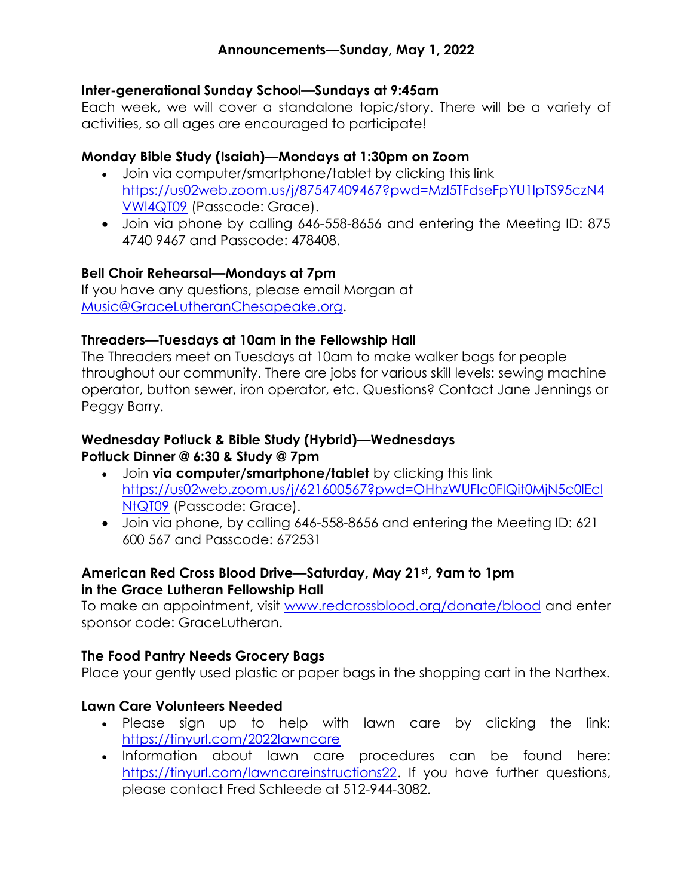### Inter-generational Sunday School—Sundays at 9:45am

Each week, we will cover a standalone topic/story. There will be a variety of activities, so all ages are encouraged to participate!

## Monday Bible Study (Isaiah)—Mondays at 1:30pm on Zoom

- Join via computer/smartphone/tablet by clicking this link https://us02web.zoom.us/j/87547409467?pwd=Mzl5TFdseFpYU1lpTS95czN4 VWl4QT09 (Passcode: Grace).
- Join via phone by calling 646-558-8656 and entering the Meeting ID: 875 4740 9467 and Passcode: 478408.

## Bell Choir Rehearsal—Mondays at 7pm

If you have any questions, please email Morgan at Music@GraceLutheranChesapeake.org.

## Threaders—Tuesdays at 10am in the Fellowship Hall

The Threaders meet on Tuesdays at 10am to make walker bags for people throughout our community. There are jobs for various skill levels: sewing machine operator, button sewer, iron operator, etc. Questions? Contact Jane Jennings or Peggy Barry.

## Wednesday Potluck & Bible Study (Hybrid)—Wednesdays Potluck Dinner @ 6:30 & Study @ 7pm

- Join via computer/smartphone/tablet by clicking this link https://us02web.zoom.us/j/621600567?pwd=OHhzWUFIc0FIQit0MjN5c0lEcl NtQT09 (Passcode: Grace).
- Join via phone, by calling 646-558-8656 and entering the Meeting ID: 621 600 567 and Passcode: 672531

## American Red Cross Blood Drive—Saturday, May 21st, 9am to 1pm in the Grace Lutheran Fellowship Hall

To make an appointment, visit www.redcrossblood.org/donate/blood and enter sponsor code: GraceLutheran.

### The Food Pantry Needs Grocery Bags

Place your gently used plastic or paper bags in the shopping cart in the Narthex.

# Lawn Care Volunteers Needed

- Please sign up to help with lawn care by clicking the link: https://tinyurl.com/2022lawncare
- Information about lawn care procedures can be found here: https://tinyurl.com/lawncareinstructions22. If you have further questions, please contact Fred Schleede at 512-944-3082.